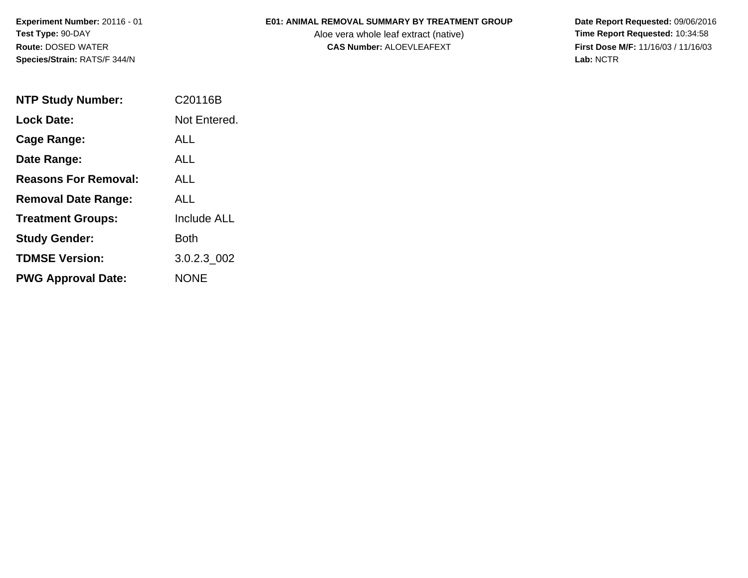**Experiment Number:** 20116 - 01**Test Type:** 90-DAY**Route:** DOSED WATER**Species/Strain:** RATS/F 344/N

## **E01: ANIMAL REMOVAL SUMMARY BY TREATMENT GROUP**

Aloe vera whole leaf extract (native)<br>**CAS Number:** ALOEVLEAFEXT

 **Date Report Requested:** 09/06/2016 **First Dose M/F:** 11/16/03 / 11/16/03<br>Lab: NCTR **Lab:** NCTR

| <b>NTP Study Number:</b>    | C <sub>20116</sub> B |
|-----------------------------|----------------------|
| <b>Lock Date:</b>           | Not Entered.         |
| <b>Cage Range:</b>          | ALL.                 |
| Date Range:                 | ALL                  |
| <b>Reasons For Removal:</b> | ALL.                 |
| <b>Removal Date Range:</b>  | ALL.                 |
| <b>Treatment Groups:</b>    | <b>Include ALL</b>   |
| <b>Study Gender:</b>        | Both                 |
| <b>TDMSE Version:</b>       | 3.0.2.3 002          |
| <b>PWG Approval Date:</b>   | <b>NONF</b>          |